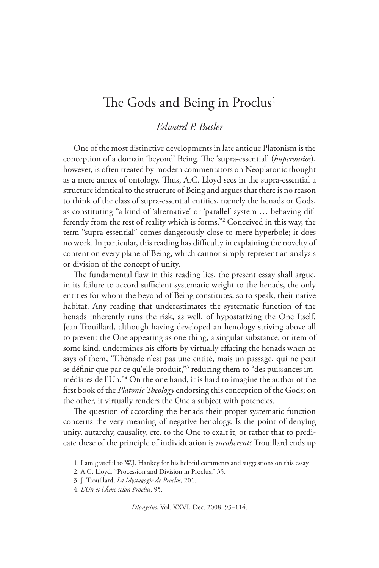## The Gods and Being in Proclus<sup>1</sup>

## *Edward P. Butler*

One of the most distinctive developments in late antique Platonism is the conception of a domain 'beyond' Being. The 'supra-essential' (*huperousios*), however, is often treated by modern commentators on Neoplatonic thought as a mere annex of ontology. Thus, A.C. Lloyd sees in the supra-essential a structure identical to the structure of Being and argues that there is no reason to think of the class of supra-essential entities, namely the henads or Gods, as constituting "a kind of 'alternative' or 'parallel' system … behaving differently from the rest of reality which is forms."2 Conceived in this way, the term "supra-essential" comes dangerously close to mere hyperbole; it does no work. In particular, this reading has difficulty in explaining the novelty of content on every plane of Being, which cannot simply represent an analysis or division of the concept of unity.

The fundamental flaw in this reading lies, the present essay shall argue, in its failure to accord sufficient systematic weight to the henads, the only entities for whom the beyond of Being constitutes, so to speak, their native habitat. Any reading that underestimates the systematic function of the henads inherently runs the risk, as well, of hypostatizing the One Itself. Jean Trouillard, although having developed an henology striving above all to prevent the One appearing as one thing, a singular substance, or item of some kind, undermines his efforts by virtually effacing the henads when he says of them, "L'hénade n'est pas une entité, mais un passage, qui ne peut se définir que par ce qu'elle produit,"3 reducing them to "des puissances immédiates de l'Un."4 On the one hand, it is hard to imagine the author of the first book of the *Platonic Theology* endorsing this conception of the Gods; on the other, it virtually renders the One a subject with potencies.

The question of according the henads their proper systematic function concerns the very meaning of negative henology. Is the point of denying unity, autarchy, causality, etc. to the One to exalt it, or rather that to predicate these of the principle of individuation is *incoherent*? Trouillard ends up

*Dionysius*, Vol. XXVI, Dec. 2008, 93–114.

<sup>1.</sup> I am grateful to W.J. Hankey for his helpful comments and suggestions on this essay.

<sup>2.</sup> A.C. Lloyd, "Procession and Division in Proclus," 35.

<sup>3.</sup> J. Trouillard, *La Mystagogie de Proclos*, 201.

<sup>4.</sup> *L'Un et l'Âme selon Proclus*, 95.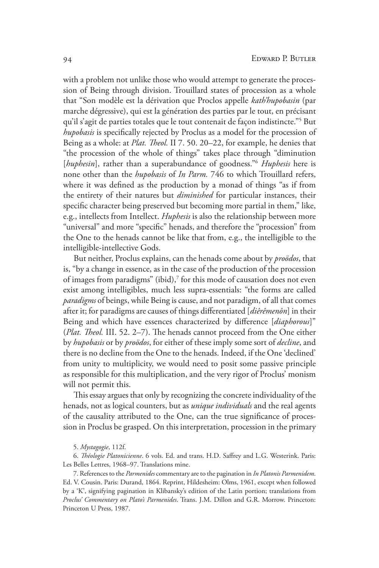with a problem not unlike those who would attempt to generate the procession of Being through division. Trouillard states of procession as a whole that "Son modèle est la dérivation que Proclos appelle *kath'hupobasin* (par marche dégressive), qui est la génération des parties par le tout, en précisant qu'il s'agit de parties totales que le tout contenait de façon indistincte."5 But *hupobasis* is specifically rejected by Proclus as a model for the procession of Being as a whole: at *Plat. Theol.* II 7. 50. 20–22, for example, he denies that "the procession of the whole of things" takes place through "diminution [*huphesin*], rather than a superabundance of goodness."<sup>6</sup> *Huphesis* here is none other than the *hupobasis* of *In Parm.* 746 to which Trouillard refers, where it was defined as the production by a monad of things "as if from the entirety of their natures but *diminished* for particular instances, their specific character being preserved but becoming more partial in them," like, e.g., intellects from Intellect. *Huphesis* is also the relationship between more "universal" and more "specific" henads, and therefore the "procession" from the One to the henads cannot be like that from, e.g., the intelligible to the intelligible-intellective Gods.

But neither, Proclus explains, can the henads come about by *proödos*, that is, "by a change in essence, as in the case of the production of the procession of images from paradigms" (ibid),<sup>7</sup> for this mode of causation does not even exist among intelligibles, much less supra-essentials: "the forms are called *paradigms* of beings, while Being is cause, and not paradigm, of all that comes after it; for paradigms are causes of things differentiated [*diêrêmenôn*] in their Being and which have essences characterized by difference [*diaphorous*]" (*Plat. Theol.* III. 52. 2–7). The henads cannot proceed from the One either by *hupobasis* or by *proödos*, for either of these imply some sort of *decline*, and there is no decline from the One to the henads. Indeed, if the One 'declined' from unity to multiplicity, we would need to posit some passive principle as responsible for this multiplication, and the very rigor of Proclus' monism will not permit this.

This essay argues that only by recognizing the concrete individuality of the henads, not as logical counters, but as *unique individuals* and the real agents of the causality attributed to the One, can the true significance of procession in Proclus be grasped. On this interpretation, procession in the primary

6. *Théologie Platonicienne*. 6 vols. Ed. and trans. H.D. Saffrey and L.G. Westerink. Paris: Les Belles Lettres, 1968–97. Translations mine.

7. References to the *Parmenides* commentary are to the pagination in *In Platonis Parmenidem*. Ed. V. Cousin. Paris: Durand, 1864. Reprint, Hildesheim: Olms, 1961, except when followed by a 'K', signifying pagination in Klibansky's edition of the Latin portion; translations from *Proclus' Commentary on Plato's Parmenides*. Trans. J.M. Dillon and G.R. Morrow. Princeton: Princeton U Press, 1987.

<sup>5.</sup> *Mystagogie*, 112f.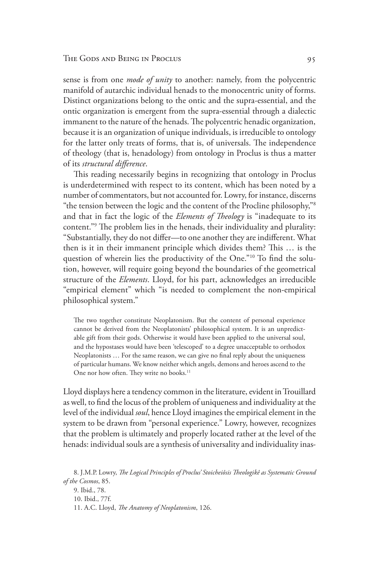## The Gods and Being in Proclus 95

sense is from one *mode of unity* to another: namely, from the polycentric manifold of autarchic individual henads to the monocentric unity of forms. Distinct organizations belong to the ontic and the supra-essential, and the ontic organization is emergent from the supra-essential through a dialectic immanent to the nature of the henads. The polycentric henadic organization, because it is an organization of unique individuals, is irreducible to ontology for the latter only treats of forms, that is, of universals. The independence of theology (that is, henadology) from ontology in Proclus is thus a matter of its *structural difference*.

This reading necessarily begins in recognizing that ontology in Proclus is underdetermined with respect to its content, which has been noted by a number of commentators, but not accounted for. Lowry, for instance, discerns "the tension between the logic and the content of the Procline philosophy,"8 and that in fact the logic of the *Elements of Theology* is "inadequate to its content."9 The problem lies in the henads, their individuality and plurality: "Substantially, they do not differ—to one another they are indifferent. What then is it in their immanent principle which divides them? This … is the question of wherein lies the productivity of the One."10 To find the solution, however, will require going beyond the boundaries of the geometrical structure of the *Elements*. Lloyd, for his part, acknowledges an irreducible "empirical element" which "is needed to complement the non-empirical philosophical system."

The two together constitute Neoplatonism. But the content of personal experience cannot be derived from the Neoplatonists' philosophical system. It is an unpredictable gift from their gods. Otherwise it would have been applied to the universal soul, and the hypostases would have been 'telescoped' to a degree unacceptable to orthodox Neoplatonists … For the same reason, we can give no final reply about the uniqueness of particular humans. We know neither which angels, demons and heroes ascend to the One nor how often. They write no books.<sup>11</sup>

Lloyd displays here a tendency common in the literature, evident in Trouillard as well, to find the locus of the problem of uniqueness and individuality at the level of the individual *soul*, hence Lloyd imagines the empirical element in the system to be drawn from "personal experience." Lowry, however, recognizes that the problem is ultimately and properly located rather at the level of the henads: individual souls are a synthesis of universality and individuality inas-

<sup>8.</sup> J.M.P. Lowry, *The Logical Principles of Proclus' Stoicheiôsis Theologikê as Systematic Ground of the Cosmos*, 85. 9. Ibid., 78. 10. Ibid., 77f. 11. A.C. Lloyd, *The Anatomy of Neoplatonism*, 126.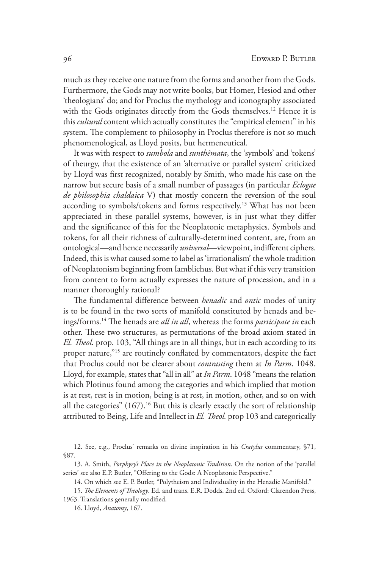much as they receive one nature from the forms and another from the Gods. Furthermore, the Gods may not write books, but Homer, Hesiod and other 'theologians' do; and for Proclus the mythology and iconography associated with the Gods originates directly from the Gods themselves.<sup>12</sup> Hence it is this *cultural* content which actually constitutes the "empirical element" in his system. The complement to philosophy in Proclus therefore is not so much phenomenological, as Lloyd posits, but hermeneutical.

It was with respect to *sumbola* and *sunthêmata*, the 'symbols' and 'tokens' of theurgy, that the existence of an 'alternative or parallel system' criticized by Lloyd was first recognized, notably by Smith, who made his case on the narrow but secure basis of a small number of passages (in particular *Eclogae de philosophia chaldaica* V) that mostly concern the reversion of the soul according to symbols/tokens and forms respectively.13 What has not been appreciated in these parallel systems, however, is in just what they differ and the significance of this for the Neoplatonic metaphysics. Symbols and tokens, for all their richness of culturally-determined content, are, from an ontological—and hence necessarily *universal*—viewpoint, indifferent ciphers. Indeed, this is what caused some to label as 'irrationalism' the whole tradition of Neoplatonism beginning from Iamblichus. But what if this very transition from content to form actually expresses the nature of procession, and in a manner thoroughly rational?

The fundamental difference between *henadic* and *ontic* modes of unity is to be found in the two sorts of manifold constituted by henads and beings/forms.14 The henads are *all in all*, whereas the forms *participate in* each other. These two structures, as permutations of the broad axiom stated in *El. Theol.* prop. 103, "All things are in all things, but in each according to its proper nature,"<sup>15</sup> are routinely conflated by commentators, despite the fact that Proclus could not be clearer about *contrasting* them at *In Parm*. 1048. Lloyd, for example, states that "all in all" at *In Parm*. 1048 "means the relation which Plotinus found among the categories and which implied that motion is at rest, rest is in motion, being is at rest, in motion, other, and so on with all the categories" (167).<sup>16</sup> But this is clearly exactly the sort of relationship attributed to Being, Life and Intellect in *El. Theol.* prop 103 and categorically

<sup>12.</sup> See, e.g., Proclus' remarks on divine inspiration in his *Cratylus* commentary, §71, §87.

<sup>13.</sup> A. Smith, *Porphyry's Place in the Neoplatonic Tradition*. On the notion of the 'parallel series' see also E.P. Butler, "Offering to the Gods: A Neoplatonic Perspective."

<sup>14.</sup> On which see E. P. Butler, "Polytheism and Individuality in the Henadic Manifold."

<sup>15.</sup> *The Elements of Theology*. Ed. and trans. E.R. Dodds. 2nd ed. Oxford: Clarendon Press, 1963. Translations generally modified.

<sup>16.</sup> Lloyd, *Anatomy*, 167.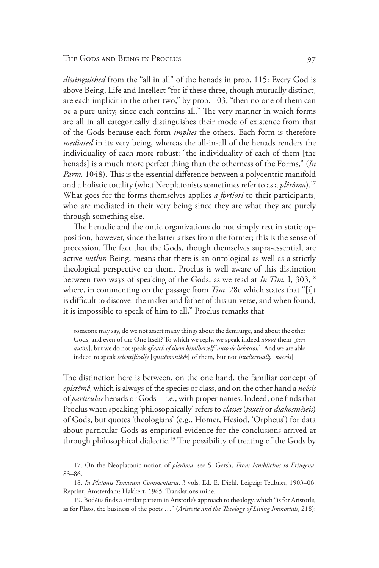*distinguished* from the "all in all" of the henads in prop. 115: Every God is above Being, Life and Intellect "for if these three, though mutually distinct, are each implicit in the other two," by prop. 103, "then no one of them can be a pure unity, since each contains all." The very manner in which forms are all in all categorically distinguishes their mode of existence from that of the Gods because each form *implies* the others. Each form is therefore *mediated* in its very being, whereas the all-in-all of the henads renders the individuality of each more robust: "the individuality of each of them [the henads] is a much more perfect thing than the otherness of the Forms," (*In Parm.* 1048). This is the essential difference between a polycentric manifold and a holistic totality (what Neoplatonists sometimes refer to as a *plêrôma*).17 What goes for the forms themselves applies *a fortiori* to their participants, who are mediated in their very being since they are what they are purely through something else.

The henadic and the ontic organizations do not simply rest in static opposition, however, since the latter arises from the former; this is the sense of procession. The fact that the Gods, though themselves supra-essential, are active *within* Being, means that there is an ontological as well as a strictly theological perspective on them. Proclus is well aware of this distinction between two ways of speaking of the Gods, as we read at *In Tim.* I, 303,18 where, in commenting on the passage from *Tim*. 28c which states that "[i]t is difficult to discover the maker and father of this universe, and when found, it is impossible to speak of him to all," Proclus remarks that

someone may say, do we not assert many things about the demiurge, and about the other Gods, and even of the One Itself? To which we reply, we speak indeed *about* them [*peri autôn*], but we do not speak *of each of them him/herself* [*auto de hekaston*]. And we are able indeed to speak *scientifically* [*epistêmonikôs*] of them, but not *intellectually* [*noerôs*].

The distinction here is between, on the one hand, the familiar concept of *epistêmê*, which is always of the species or class, and on the other hand a *noêsis* of *particular* henads or Gods—i.e., with proper names. Indeed, one finds that Proclus when speaking 'philosophically' refers to *classes* (*taxeis* or *diakosmêseis*) of Gods, but quotes 'theologians' (e.g., Homer, Hesiod, 'Orpheus') for data about particular Gods as empirical evidence for the conclusions arrived at through philosophical dialectic.19 The possibility of treating of the Gods by

17. On the Neoplatonic notion of *plêrôma*, see S. Gersh, *From Iamblichus to Eriugena*, 83–86.

18. *In Platonis Timaeum Commentaria*. 3 vols. Ed. E. Diehl. Leipzig: Teubner, 1903–06. Reprint, Amsterdam: Hakkert, 1965. Translations mine.

19. Bodéüs finds a similar pattern in Aristotle's approach to theology, which "is for Aristotle, as for Plato, the business of the poets …" (*Aristotle and the Theology of Living Immortals*, 218):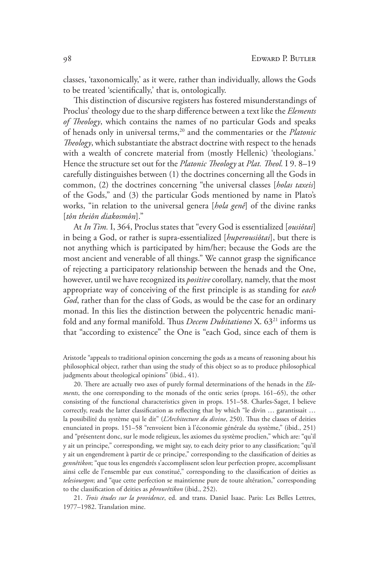classes, 'taxonomically,' as it were, rather than individually, allows the Gods to be treated 'scientifically,' that is, ontologically.

This distinction of discursive registers has fostered misunderstandings of Proclus' theology due to the sharp difference between a text like the *Elements of Theology*, which contains the names of no particular Gods and speaks of henads only in universal terms,<sup>20</sup> and the commentaries or the *Platonic Theology*, which substantiate the abstract doctrine with respect to the henads with a wealth of concrete material from (mostly Hellenic) 'theologians.' Hence the structure set out for the *Platonic Theology* at *Plat. Theol.* I 9. 8–19 carefully distinguishes between (1) the doctrines concerning all the Gods in common, (2) the doctrines concerning "the universal classes [*holas taxeis*] of the Gods," and (3) the particular Gods mentioned by name in Plato's works, "in relation to the universal genera [*hola genê*] of the divine ranks [*tôn theiôn diakosmôn*]."

At *In Tim.* I, 364, Proclus states that "every God is essentialized [*ousiôtai*] in being a God, or rather is supra-essentialized [*huperousiôtai*], but there is not anything which is participated by him/her; because the Gods are the most ancient and venerable of all things." We cannot grasp the significance of rejecting a participatory relationship between the henads and the One, however, until we have recognized its *positive* corollary, namely, that the most appropriate way of conceiving of the first principle is as standing for *each God*, rather than for the class of Gods, as would be the case for an ordinary monad. In this lies the distinction between the polycentric henadic manifold and any formal manifold. Thus *Decem Dubitationes* X. 6321 informs us that "according to existence" the One is "each God, since each of them is

Aristotle "appeals to traditional opinion concerning the gods as a means of reasoning about his philosophical object, rather than using the study of this object so as to produce philosophical judgments about theological opinions" (ibid., 41).

20. There are actually two axes of purely formal determinations of the henads in the *Elements*, the one corresponding to the monads of the ontic series (props. 161–65), the other consisting of the functional characteristics given in props. 151–58. Charles-Saget, I believe correctly, reads the latter classification as reflecting that by which "le divin … garantissait … la possibilité du système qui le dit" (*L'Architecture du divine*, 250). Thus the classes of deities enunciated in props. 151–58 "renvoient bien à l'économie générale du système," (ibid., 251) and "présentent donc, sur le mode religieux, les axiomes du système proclien," which are: "qu'il y ait un principe," corresponding, we might say, to each deity prior to any classification; "qu'il y ait un engendrement à partir de ce principe," corresponding to the classification of deities as *gennêtikon*; "que tous les engendrés s'accomplissent selon leur perfection propre, accomplissant ainsi celle de l'ensemble par eux constitué," corresponding to the classification of deities as *telesiourgon*; and "que cette perfection se maintienne pure de toute altération," corresponding to the classification of deities as *phrourêtikon* (ibid., 252).

21. *Trois études sur la providence*, ed. and trans. Daniel Isaac. Paris: Les Belles Lettres, 1977–1982. Translation mine.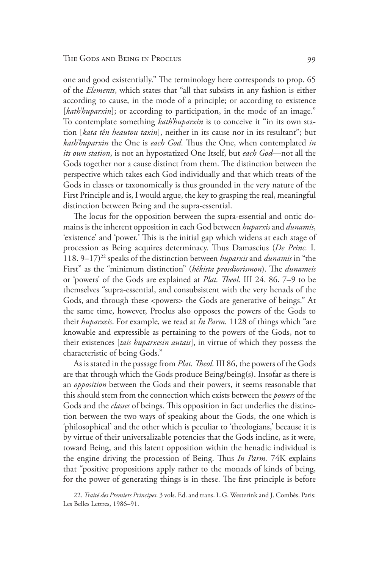one and good existentially." The terminology here corresponds to prop. 65 of the *Elements*, which states that "all that subsists in any fashion is either according to cause, in the mode of a principle; or according to existence [kath'huparxin]; or according to participation, in the mode of an image." To contemplate something *kath'huparxin* is to conceive it "in its own station [*kata tên heautou taxin*], neither in its cause nor in its resultant"; but *kath'huparxin* the One is *each God*. Thus the One, when contemplated *in its own station*, is not an hypostatized One Itself, but *each God*—not all the Gods together nor a cause distinct from them. The distinction between the perspective which takes each God individually and that which treats of the Gods in classes or taxonomically is thus grounded in the very nature of the First Principle and is, I would argue, the key to grasping the real, meaningful distinction between Being and the supra-essential.

The locus for the opposition between the supra-essential and ontic domains is the inherent opposition in each God between *huparxis* and *dunamis*, 'existence' and 'power.' This is the initial gap which widens at each stage of procession as Being acquires determinacy. Thus Damascius (*De Princ.* I. 118. 9–17)22 speaks of the distinction between *huparxis* and *dunamis* in "the First" as the "minimum distinction" (*hêkista prosdiorismon*). The *dunameis* or 'powers' of the Gods are explained at *Plat. Theol.* III 24. 86. 7–9 to be themselves "supra-essential, and consubsistent with the very henads of the Gods, and through these <powers> the Gods are generative of beings." At the same time, however, Proclus also opposes the powers of the Gods to their *huparxeis*. For example, we read at *In Parm.* 1128 of things which "are knowable and expressible as pertaining to the powers of the Gods, not to their existences [*tais huparxesin autais*], in virtue of which they possess the characteristic of being Gods."

As is stated in the passage from *Plat. Theol.* III 86, the powers of the Gods are that through which the Gods produce Being/being(s). Insofar as there is an *opposition* between the Gods and their powers, it seems reasonable that this should stem from the connection which exists between the *powers* of the Gods and the *classes* of beings. This opposition in fact underlies the distinction between the two ways of speaking about the Gods, the one which is 'philosophical' and the other which is peculiar to 'theologians,' because it is by virtue of their universalizable potencies that the Gods incline, as it were, toward Being, and this latent opposition within the henadic individual is the engine driving the procession of Being. Thus *In Parm.* 74K explains that "positive propositions apply rather to the monads of kinds of being, for the power of generating things is in these. The first principle is before

22. *Traité des Premiers Principes*. 3 vols. Ed. and trans. L.G. Westerink and J. Combès. Paris: Les Belles Lettres, 1986–91.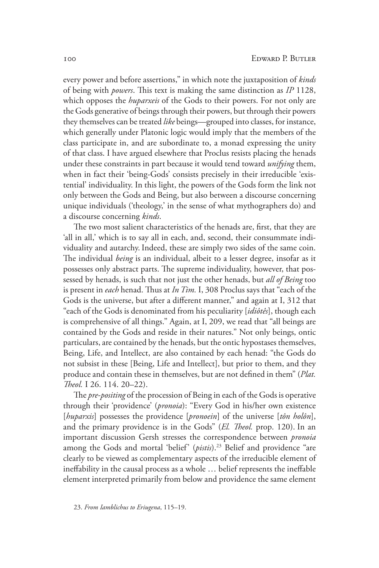every power and before assertions," in which note the juxtaposition of *kinds* of being with *powers*. This text is making the same distinction as *IP* 1128, which opposes the *huparxeis* of the Gods to their powers. For not only are the Gods generative of beings through their powers, but through their powers they themselves can be treated *like* beings—grouped into classes, for instance, which generally under Platonic logic would imply that the members of the class participate in, and are subordinate to, a monad expressing the unity of that class. I have argued elsewhere that Proclus resists placing the henads under these constraints in part because it would tend toward *unifying* them, when in fact their 'being-Gods' consists precisely in their irreducible 'existential' individuality. In this light, the powers of the Gods form the link not only between the Gods and Being, but also between a discourse concerning unique individuals ('theology,' in the sense of what mythographers do) and a discourse concerning *kinds*.

The two most salient characteristics of the henads are, first, that they are 'all in all,' which is to say all in each, and, second, their consummate individuality and autarchy. Indeed, these are simply two sides of the same coin. The individual *being* is an individual, albeit to a lesser degree, insofar as it possesses only abstract parts. The supreme individuality, however, that possessed by henads, is such that not just the other henads, but *all of Being* too is present in *each* henad. Thus at *In Tim.* I, 308 Proclus says that "each of the Gods is the universe, but after a different manner," and again at I, 312 that "each of the Gods is denominated from his peculiarity [*idiôtês*], though each is comprehensive of all things." Again, at I, 209, we read that "all beings are contained by the Gods and reside in their natures." Not only beings, ontic particulars, are contained by the henads, but the ontic hypostases themselves, Being, Life, and Intellect, are also contained by each henad: "the Gods do not subsist in these [Being, Life and Intellect], but prior to them, and they produce and contain these in themselves, but are not defined in them" (*Plat. Theol.* I 26. 114. 20–22).

The *pre-positing* of the procession of Being in each of the Gods is operative through their 'providence' (*pronoia*): "Every God in his/her own existence [*huparxis*] possesses the providence [*pronoein*] of the universe [*tôn holôn*], and the primary providence is in the Gods" (*El. Theol.* prop. 120). In an important discussion Gersh stresses the correspondence between *pronoia* among the Gods and mortal 'belief' (*pistis*).23 Belief and providence "are clearly to be viewed as complementary aspects of the irreducible element of ineffability in the causal process as a whole … belief represents the ineffable element interpreted primarily from below and providence the same element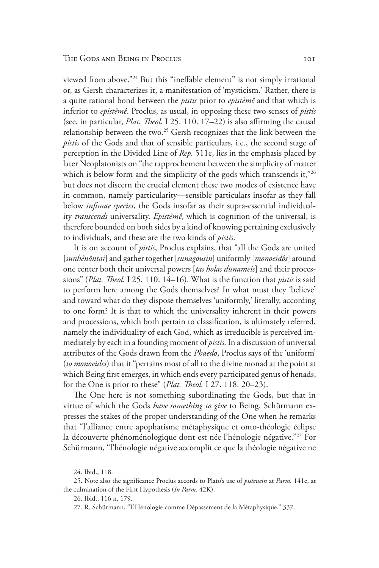viewed from above."<sup>24</sup> But this "ineffable element" is not simply irrational or, as Gersh characterizes it, a manifestation of 'mysticism.' Rather, there is a quite rational bond between the *pistis* prior to *epistêmê* and that which is inferior to *epistêmê*. Proclus, as usual, in opposing these two senses of *pistis* (see, in particular, *Plat. Theol.* I 25. 110. 17–22) is also affirming the causal relationship between the two.<sup>25</sup> Gersh recognizes that the link between the *pistis* of the Gods and that of sensible particulars, i.e., the second stage of perception in the Divided Line of *Rep.* 511e, lies in the emphasis placed by later Neoplatonists on "the rapprochement between the simplicity of matter which is below form and the simplicity of the gods which transcends it,"26 but does not discern the crucial element these two modes of existence have in common, namely particularity—sensible particulars insofar as they fall below *infimae species*, the Gods insofar as their supra-essential individuality *transcends* universality. *Epistêmê*, which is cognition of the universal, is therefore bounded on both sides by a kind of knowing pertaining exclusively to individuals, and these are the two kinds of *pistis*.

It is on account of *pistis*, Proclus explains, that "all the Gods are united [*sunhênôntai*] and gather together [*sunagousin*] uniformly [*monoeidôs*] around one center both their universal powers [*tas holas dunameis*] and their processions" (*Plat. Theol.* I 25. 110. 14–16). What is the function that *pistis* is said to perform here among the Gods themselves? In what must they 'believe' and toward what do they dispose themselves 'uniformly,' literally, according to one form? It is that to which the universality inherent in their powers and processions, which both pertain to classification, is ultimately referred, namely the individuality of each God, which as irreducible is perceived immediately by each in a founding moment of *pistis*. In a discussion of universal attributes of the Gods drawn from the *Phaedo*, Proclus says of the 'uniform' (*to monoeides*) that it "pertains most of all to the divine monad at the point at which Being first emerges, in which ends every participated genus of henads, for the One is prior to these" (*Plat. Theol.* I 27. 118. 20–23).

The One here is not something subordinating the Gods, but that in virtue of which the Gods *have something to give* to Being. Schürmann expresses the stakes of the proper understanding of the One when he remarks that "l'alliance entre apophatisme métaphysique et onto-théologie éclipse la découverte phénoménologique dont est née l'hénologie négative."<sup>27</sup> For Schürmann, "l'hénologie négative accomplit ce que la théologie négative ne

<sup>24.</sup> Ibid., 118.

<sup>25.</sup> Note also the significance Proclus accords to Plato's use of *pisteuein* at *Parm.* 141e, at the culmination of the First Hypothesis (*In Parm.* 42K).

<sup>26.</sup> Ibid., 116 n. 179.

<sup>27.</sup> R. Schürmann, "L'Hénologie comme Dépassement de la Métaphysique," 337.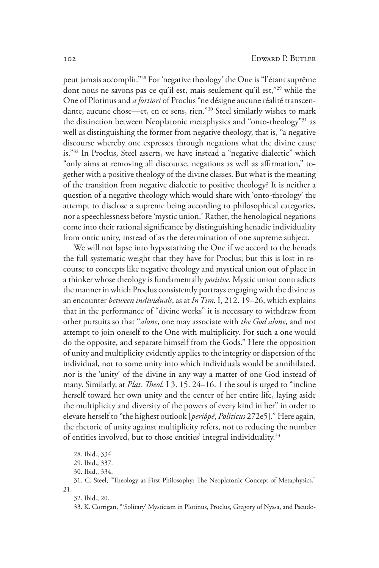peut jamais accomplir."28 For 'negative theology' the One is "l'étant suprême dont nous ne savons pas ce qu'il est, mais seulement qu'il est,"29 while the One of Plotinus and *a fortiori* of Proclus "ne désigne aucune réalité transcendante, aucune chose—et, en ce sens, rien."30 Steel similarly wishes to mark the distinction between Neoplatonic metaphysics and "onto-theology"31 as well as distinguishing the former from negative theology, that is, "a negative discourse whereby one expresses through negations what the divine cause is."32 In Proclus, Steel asserts, we have instead a "negative dialectic" which "only aims at removing all discourse, negations as well as affirmation," together with a positive theology of the divine classes. But what is the meaning of the transition from negative dialectic to positive theology? It is neither a question of a negative theology which would share with 'onto-theology' the attempt to disclose a supreme being according to philosophical categories, nor a speechlessness before 'mystic union.' Rather, the henological negations come into their rational significance by distinguishing henadic individuality from ontic unity, instead of as the determination of one supreme subject.

We will not lapse into hypostatizing the One if we accord to the henads the full systematic weight that they have for Proclus; but this is lost in recourse to concepts like negative theology and mystical union out of place in a thinker whose theology is fundamentally *positive*. Mystic union contradicts the manner in which Proclus consistently portrays engaging with the divine as an encounter *between individuals*, as at *In Tim.* I, 212. 19–26, which explains that in the performance of "divine works" it is necessary to withdraw from other pursuits so that "*alone*, one may associate with *the God alone*, and not attempt to join oneself to the One with multiplicity. For such a one would do the opposite, and separate himself from the Gods." Here the opposition of unity and multiplicity evidently applies to the integrity or dispersion of the individual, not to some unity into which individuals would be annihilated, nor is the 'unity' of the divine in any way a matter of one God instead of many. Similarly, at *Plat. Theol.* I 3. 15. 24–16. 1 the soul is urged to "incline herself toward her own unity and the center of her entire life, laying aside the multiplicity and diversity of the powers of every kind in her" in order to elevate herself to "the highest outlook [*periôpê*, *Politicus* 272e5]." Here again, the rhetoric of unity against multiplicity refers, not to reducing the number of entities involved, but to those entities' integral individuality.<sup>33</sup>

32. Ibid., 20.

<sup>28.</sup> Ibid., 334.

<sup>29.</sup> Ibid., 337.

<sup>30.</sup> Ibid., 334.

<sup>31.</sup> C. Steel, "Theology as First Philosophy: The Neoplatonic Concept of Metaphysics," 21.

<sup>33.</sup> K. Corrigan, "'Solitary' Mysticism in Plotinus, Proclus, Gregory of Nyssa, and Pseudo-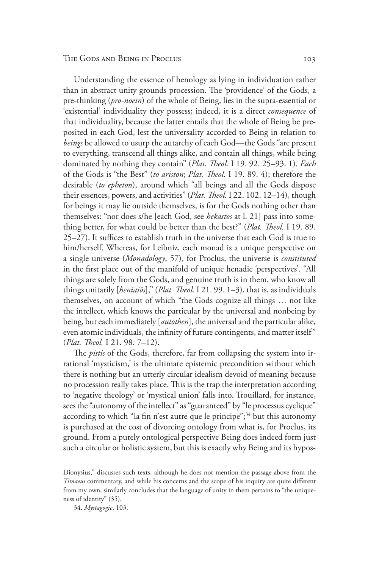Understanding the essence of henology as lying in individuation rather than in abstract unity grounds procession. The 'providence' of the Gods, a pre-thinking (*pro-noein*) of the whole of Being, lies in the supra-essential or 'existential' individuality they possess; indeed, it is a direct *consequence* of that individuality, because the latter entails that the whole of Being be preposited in each God, lest the universality accorded to Being in relation to *beings* be allowed to usurp the autarchy of each God—the Gods "are present to everything, transcend all things alike, and contain all things, while being dominated by nothing they contain" (*Plat. Theol.* I 19. 92. 25–93. 1). *Each* of the Gods is "the Best" (*to ariston*; *Plat. Theol.* I 19. 89. 4); therefore the desirable (*to epheton*), around which "all beings and all the Gods dispose their essences, powers, and activities" (*Plat. Theol.* I 22. 102. 12–14), though for beings it may lie outside themselves, is for the Gods nothing other than themselves: "nor does s/he [each God, see *hekastos* at l. 21] pass into something better, for what could be better than the best?" (*Plat. Theol.* I 19. 89. 25–27). It suffices to establish truth in the universe that each God is true to him/herself. Whereas, for Leibniz, each monad is a unique perspective on a single universe (*Monadology*, 57), for Proclus, the universe is *constituted* in the first place out of the manifold of unique henadic 'perspectives'. "All things are solely from the Gods, and genuine truth is in them, who know all things unitarily [*heniaiôs*]," (*Plat. Theol.* I 21. 99. 1–3), that is, as individuals themselves, on account of which "the Gods cognize all things … not like the intellect, which knows the particular by the universal and nonbeing by being, but each immediately [*autothen*], the universal and the particular alike, even atomic individuals, the infinity of future contingents, and matter itself" (*Plat. Theol.* I 21. 98. 7–12).

The *pistis* of the Gods, therefore, far from collapsing the system into irrational 'mysticism,' is the ultimate epistemic precondition without which there is nothing but an utterly circular idealism devoid of meaning because no procession really takes place. This is the trap the interpretation according to 'negative theology' or 'mystical union' falls into. Trouillard, for instance, sees the "autonomy of the intellect" as "guaranteed" by "le processus cyclique" according to which "la fin n'est autre que le principe";<sup>34</sup> but this autonomy is purchased at the cost of divorcing ontology from what is, for Proclus, its ground. From a purely ontological perspective Being does indeed form just such a circular or holistic system, but this is exactly why Being and its hypos-

Dionysius," discusses such texts, although he does not mention the passage above from the *Timaeus* commentary, and while his concerns and the scope of his inquiry are quite different from my own, similarly concludes that the language of unity in them pertains to "the uniqueness of identity" (35).

34. *Mystagogie*, 103.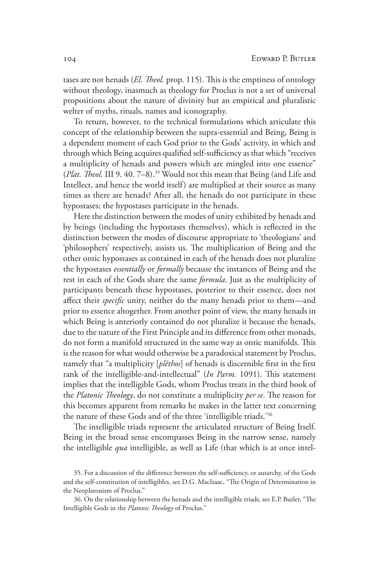tases are not henads (*El. Theol.* prop. 115). This is the emptiness of ontology without theology, inasmuch as theology for Proclus is not a set of universal propositions about the nature of divinity but an empirical and pluralistic welter of myths, rituals, names and iconography.

To return, however, to the technical formulations which articulate this concept of the relationship between the supra-essential and Being, Being is a dependent moment of each God prior to the Gods' activity, in which and through which Being acquires qualified self-sufficiency as that which "receives a multiplicity of henads and powers which are mingled into one essence" (*Plat. Theol.* III 9. 40. 7–8).35 Would not this mean that Being (and Life and Intellect, and hence the world itself) are multiplied at their source as many times as there are henads? After all, the henads do not participate in these hypostases; the hypostases participate in the henads.

Here the distinction between the modes of unity exhibited by henads and by beings (including the hypostases themselves), which is reflected in the distinction between the modes of discourse appropriate to 'theologians' and 'philosophers' respectively, assists us. The multiplication of Being and the other ontic hypostases as contained in each of the henads does not pluralize the hypostases *essentially* or *formally* because the instances of Being and the rest in each of the Gods share the same *formula*. Just as the multiplicity of participants beneath these hypostases, posterior to their essence, does not affect their *specific* unity, neither do the many henads prior to them—and prior to essence altogether. From another point of view, the many henads in which Being is anteriorly contained do not pluralize it because the henads, due to the nature of the First Principle and its difference from other monads, do not form a manifold structured in the same way as ontic manifolds. This is the reason for what would otherwise be a paradoxical statement by Proclus, namely that "a multiplicity [*plêthos*] of henads is discernible first in the first rank of the intelligible-and-intellectual" (*In Parm.* 1091). This statement implies that the intelligible Gods, whom Proclus treats in the third book of the *Platonic Theology*, do not constitute a multiplicity *per se*. The reason for this becomes apparent from remarks he makes in the latter text concerning the nature of these Gods and of the three 'intelligible triads.'36

The intelligible triads represent the articulated structure of Being Itself. Being in the broad sense encompasses Being in the narrow sense, namely the intelligible *qua* intelligible, as well as Life (that which is at once intel-

<sup>35.</sup> For a discussion of the difference between the self-sufficiency, or autarchy, of the Gods and the self-constitution of intelligibles, see D.G. MacIsaac, "The Origin of Determination in the Neoplatonism of Proclus."

<sup>36.</sup> On the relationship between the henads and the intelligible triads, see E.P. Butler, "The Intelligible Gods in the *Platonic Theology* of Proclus."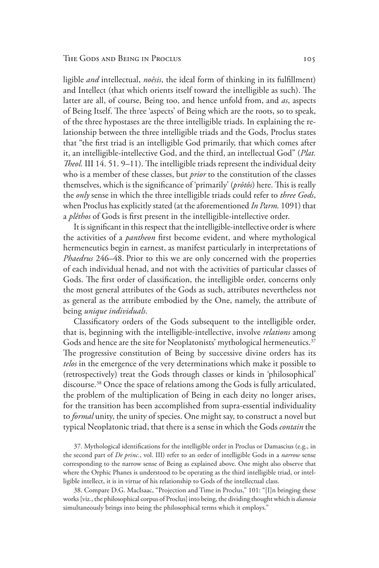ligible *and* intellectual, *noêsis*, the ideal form of thinking in its fulfillment) and Intellect (that which orients itself toward the intelligible as such). The latter are all, of course, Being too, and hence unfold from, and *as*, aspects of Being Itself. The three 'aspects' of Being which are the roots, so to speak, of the three hypostases are the three intelligible triads. In explaining the relationship between the three intelligible triads and the Gods, Proclus states that "the first triad is an intelligible God primarily, that which comes after it, an intelligible-intellective God, and the third, an intellectual God" (*Plat. Theol.* III 14. 51. 9–11). The intelligible triads represent the individual deity who is a member of these classes, but *prior* to the constitution of the classes themselves, which is the significance of 'primarily' (*prôtôs*) here. This is really the *only* sense in which the three intelligible triads could refer to *three Gods*, when Proclus has explicitly stated (at the aforementioned *In Parm.* 1091) that a *plêthos* of Gods is first present in the intelligible-intellective order.

It is significant in this respect that the intelligible-intellective order is where the activities of a *pantheon* first become evident, and where mythological hermeneutics begin in earnest, as manifest particularly in interpretations of *Phaedrus* 246–48. Prior to this we are only concerned with the properties of each individual henad, and not with the activities of particular classes of Gods. The first order of classification, the intelligible order, concerns only the most general attributes of the Gods as such, attributes nevertheless not as general as the attribute embodied by the One, namely, the attribute of being *unique individuals*.

Classificatory orders of the Gods subsequent to the intelligible order, that is, beginning with the intelligible-intellective, involve *relations* among Gods and hence are the site for Neoplatonists' mythological hermeneutics.<sup>37</sup> The progressive constitution of Being by successive divine orders has its *telos* in the emergence of the very determinations which make it possible to (retrospectively) treat the Gods through classes or kinds in 'philosophical' discourse.38 Once the space of relations among the Gods is fully articulated, the problem of the multiplication of Being in each deity no longer arises, for the transition has been accomplished from supra-essential individuality to *formal* unity, the unity of species. One might say, to construct a novel but typical Neoplatonic triad, that there is a sense in which the Gods *contain* the

37. Mythological identifications for the intelligible order in Proclus or Damascius (e.g., in the second part of *De princ.*, vol. III) refer to an order of intelligible Gods in a *narrow* sense corresponding to the narrow sense of Being as explained above. One might also observe that where the Orphic Phanes is understood to be operating as the third intelligible triad, or intelligible intellect, it is in virtue of his relationship to Gods of the intellectual class.

38. Compare D.G. MacIsaac, "Projection and Time in Proclus," 101: "[I]n bringing these works [viz., the philosophical corpus of Proclus] into being, the dividing thought which is *dianoia* simultaneously brings into being the philosophical terms which it employs."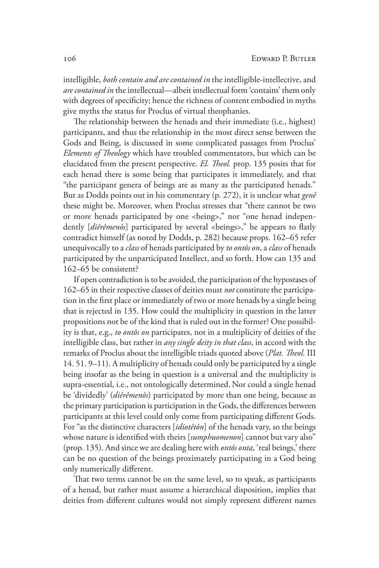intelligible, *both contain and are contained in* the intelligible-intellective, and *are contained in* the intellectual—albeit intellectual form 'contains' them only with degrees of specificity; hence the richness of content embodied in myths give myths the status for Proclus of virtual theophanies.

The relationship between the henads and their immediate (i.e., highest) participants, and thus the relationship in the most direct sense between the Gods and Being, is discussed in some complicated passages from Proclus' *Elements of Theology* which have troubled commentators, but which can be elucidated from the present perspective. *El. Theol.* prop. 135 posits that for each henad there is some being that participates it immediately, and that "the participant genera of beings are as many as the participated henads." But as Dodds points out in his commentary (p. 272), it is unclear what *genê* these might be. Moreover, when Proclus stresses that "there cannot be two or more henads participated by one <being>," nor "one henad independently [diêrêmenôs] participated by several <br/>beings>," he appears to flatly contradict himself (as noted by Dodds, p. 282) because props. 162–65 refer unequivocally to a *class* of henads participated by *to ontôs on*, a *class* of henads participated by the unparticipated Intellect, and so forth. How can 135 and 162–65 be consistent?

If open contradiction is to be avoided, the participation of the hypostases of 162–65 in their respective classes of deities must *not* constitute the participation in the first place or immediately of two or more henads by a single being that is rejected in 135. How could the multiplicity in question in the latter propositions not be of the kind that is ruled out in the former? One possibility is that, e.g., *to ontôs on* participates, not in a multiplicity of deities of the intelligible class, but rather in *any single deity in that class*, in accord with the remarks of Proclus about the intelligible triads quoted above (*Plat. Theol.* III 14. 51. 9–11). A multiplicity of henads could only be participated by a single being insofar as the being in question is a universal and the multiplicity is supra-essential, i.e., not ontologically determined.Nor could a single henad be 'dividedly' (*diêrêmenôs*) participated by more than one being, because as the primary participation is participation in the Gods, the differences between participants at this level could only come from participating different Gods. For "as the distinctive characters [*idiotêtôn*] of the henads vary, so the beings whose nature is identified with theirs [*sumphuomenon*] cannot but vary also" (prop. 135). And since we are dealing here with *ontôs onta*, 'real beings,' there can be no question of the beings proximately participating in a God being only numerically different.

That two terms cannot be on the same level, so to speak, as participants of a henad, but rather must assume a hierarchical disposition, implies that deities from different cultures would not simply represent different names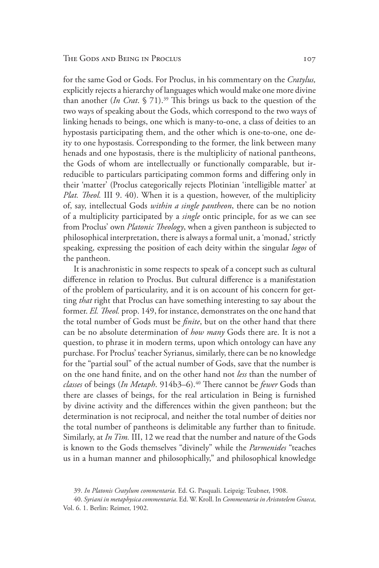for the same God or Gods. For Proclus, in his commentary on the *Cratylus,* explicitly rejects a hierarchy of languages which would make one more divine than another (*In Crat*. § 71).39 This brings us back to the question of the two ways of speaking about the Gods, which correspond to the two ways of linking henads to beings, one which is many-to-one, a class of deities to an hypostasis participating them, and the other which is one-to-one, one deity to one hypostasis. Corresponding to the former, the link between many henads and one hypostasis, there is the multiplicity of national pantheons, the Gods of whom are intellectually or functionally comparable, but irreducible to particulars participating common forms and differing only in their 'matter' (Proclus categorically rejects Plotinian 'intelligible matter' at *Plat. Theol.* III 9. 40). When it is a question, however, of the multiplicity of, say, intellectual Gods *within a single pantheon*, there can be no notion of a multiplicity participated by a *single* ontic principle, for as we can see from Proclus' own *Platonic Theology*, when a given pantheon is subjected to philosophical interpretation, there is always a formal unit, a 'monad,' strictly speaking, expressing the position of each deity within the singular *logos* of the pantheon.

It is anachronistic in some respects to speak of a concept such as cultural difference in relation to Proclus. But cultural difference is a manifestation of the problem of particularity, and it is on account of his concern for getting *that* right that Proclus can have something interesting to say about the former. *El. Theol.* prop. 149, for instance, demonstrates on the one hand that the total number of Gods must be *finite*, but on the other hand that there can be no absolute determination of *how many* Gods there are. It is not a question, to phrase it in modern terms, upon which ontology can have any purchase. For Proclus' teacher Syrianus, similarly, there can be no knowledge for the "partial soul" of the actual number of Gods, save that the number is on the one hand finite, and on the other hand not *less* than the number of *classes* of beings (*In Metaph*. 914b3–6).<sup>40</sup> There cannot be *fewer* Gods than there are classes of beings, for the real articulation in Being is furnished by divine activity and the differences within the given pantheon; but the determination is not reciprocal, and neither the total number of deities nor the total number of pantheons is delimitable any further than to finitude. Similarly, at *In Tim.* III, 12 we read that the number and nature of the Gods is known to the Gods themselves "divinely" while the *Parmenides* "teaches us in a human manner and philosophically," and philosophical knowledge

<sup>39.</sup> *In Platonis Cratylum commentaria*. Ed. G. Pasquali. Leipzig: Teubner, 1908.

<sup>40.</sup> *Syriani in metaphysica commentaria*. Ed. W. Kroll. In *Commentaria in Aristotelem Graeca*, Vol. 6. 1. Berlin: Reimer, 1902.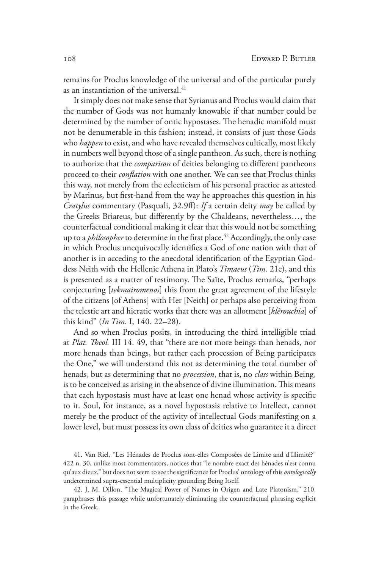remains for Proclus knowledge of the universal and of the particular purely as an instantiation of the universal.<sup>41</sup>

It simply does not make sense that Syrianus and Proclus would claim that the number of Gods was not humanly knowable if that number could be determined by the number of ontic hypostases. The henadic manifold must not be denumerable in this fashion; instead, it consists of just those Gods who *happen* to exist, and who have revealed themselves cultically, most likely in numbers well beyond those of a single pantheon. As such, there is nothing to authorize that the *comparison* of deities belonging to different pantheons proceed to their *conflation* with one another. We can see that Proclus thinks this way, not merely from the eclecticism of his personal practice as attested by Marinus, but first-hand from the way he approaches this question in his *Cratylus* commentary (Pasquali, 32.9ff): *If* a certain deity *may* be called by the Greeks Briareus, but differently by the Chaldeans, nevertheless…, the counterfactual conditional making it clear that this would not be something up to a *philosopher* to determine in the first place.<sup>42</sup> Accordingly, the only case in which Proclus unequivocally identifies a God of one nation with that of another is in acceding to the anecdotal identification of the Egyptian Goddess Neith with the Hellenic Athena in Plato's *Timaeus* (*Tim.* 21e), and this is presented as a matter of testimony. The Saïte, Proclus remarks, "perhaps conjecturing [*tekmairomenos*] this from the great agreement of the lifestyle of the citizens [of Athens] with Her [Neith] or perhaps also perceiving from the telestic art and hieratic works that there was an allotment [*klêrouchia*] of this kind" (*In Tim.* I, 140. 22–28).

And so when Proclus posits, in introducing the third intelligible triad at *Plat. Theol.* III 14. 49, that "there are not more beings than henads, nor more henads than beings, but rather each procession of Being participates the One," we will understand this not as determining the total number of henads, but as determining that no *procession*, that is, no *class* within Being, is to be conceived as arising in the absence of divine illumination. This means that each hypostasis must have at least one henad whose activity is specific to it. Soul, for instance, as a novel hypostasis relative to Intellect, cannot merely be the product of the activity of intellectual Gods manifesting on a lower level, but must possess its own class of deities who guarantee it a direct

41. Van Riel, "Les Hénades de Proclus sont-elles Composées de Limite and d'Illimité?" 422 n. 30, unlike most commentators, notices that "le nombre exact des hénades n'est connu qu'aux dieux," but does not seem to see the significance for Proclus' ontology of this *ontologically* undetermined supra-essential multiplicity grounding Being Itself.

42. J. M. Dillon, "The Magical Power of Names in Origen and Late Platonism," 210, paraphrases this passage while unfortunately eliminating the counterfactual phrasing explicit in the Greek.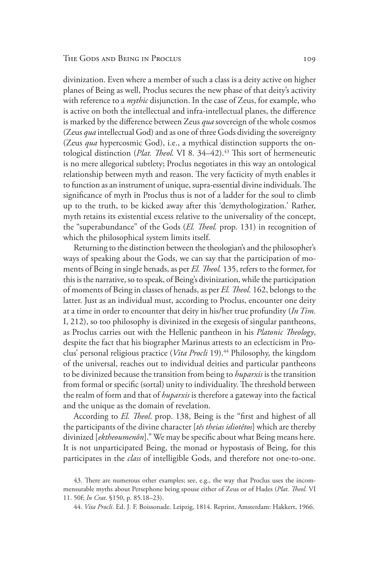divinization. Even where a member of such a class is a deity active on higher planes of Being as well, Proclus secures the new phase of that deity's activity with reference to a *mythic* disjunction. In the case of Zeus, for example, who is active on both the intellectual and infra-intellectual planes, the difference is marked by the difference between Zeus *qua* sovereign of the whole cosmos (Zeus *qua* intellectual God) and as one of three Gods dividing the sovereignty (Zeus *qua* hypercosmic God), i.e., a mythical distinction supports the ontological distinction (*Plat. Theol.* VI 8. 34–42).<sup>43</sup> This sort of hermeneutic is no mere allegorical subtlety; Proclus negotiates in this way an ontological relationship between myth and reason. The very facticity of myth enables it to function as an instrument of unique, supra-essential divine individuals.The significance of myth in Proclus thus is not of a ladder for the soul to climb up to the truth, to be kicked away after this 'demythologization.' Rather, myth retains its existential excess relative to the universality of the concept, the "superabundance" of the Gods (*El. Theol.* prop. 131) in recognition of which the philosophical system limits itself.

Returning to the distinction between the theologian's and the philosopher's ways of speaking about the Gods, we can say that the participation of moments of Being in single henads, as per *El. Theol.* 135, refers to the former, for this is the narrative, so to speak, of Being's divinization, while the participation of moments of Being in classes of henads, as per *El. Theol.* 162, belongs to the latter. Just as an individual must, according to Proclus, encounter one deity at a time in order to encounter that deity in his/her true profundity (*In Tim.*  I, 212), so too philosophy is divinized in the exegesis of singular pantheons, as Proclus carries out with the Hellenic pantheon in his *Platonic Theology*, despite the fact that his biographer Marinus attests to an eclecticism in Proclus' personal religious practice (Vita Procli 19).<sup>44</sup> Philosophy, the kingdom of the universal, reaches out to individual deities and particular pantheons to be divinized because the transition from being to *huparxis* is the transition from formal or specific (sortal) unity to individuality. The threshold between the realm of form and that of *huparxis* is therefore a gateway into the factical and the unique as the domain of revelation.

According to *El. Theol*. prop. 138, Being is the "first and highest of all the participants of the divine character [*tês theias idiotêtos*] which are thereby divinized [*ektheoumenôn*]." We may be specific about what Being means here. It is not unparticipated Being, the monad or hypostasis of Being, for this participates in the *class* of intelligible Gods, and therefore not one-to-one.

<sup>43.</sup> There are numerous other examples; see, e.g., the way that Proclus uses the incommensurable myths about Persephone being spouse either of Zeus or of Hades (*Plat. Theol.* VI 11. 50f; *In Crat*. §150, p. 85.18–23).

<sup>44.</sup> *Vita Procli*. Ed. J. F. Boissonade. Leipzig, 1814. Reprint, Amsterdam: Hakkert, 1966.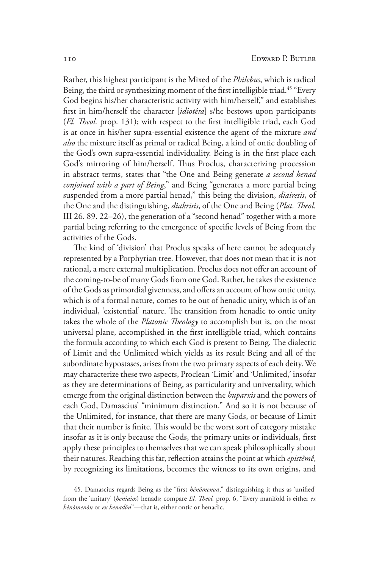Rather, this highest participant is the Mixed of the *Philebus*, which is radical Being, the third or synthesizing moment of the first intelligible triad.<sup>45</sup> "Every God begins his/her characteristic activity with him/herself," and establishes first in him/herself the character [*idiotêta*] s/he bestows upon participants (*El. Theol.* prop. 131); with respect to the first intelligible triad, each God is at once in his/her supra-essential existence the agent of the mixture *and also* the mixture itself as primal or radical Being, a kind of ontic doubling of the God's own supra-essential individuality. Being is in the first place each God's mirroring of him/herself. Thus Proclus, characterizing procession in abstract terms, states that "the One and Being generate *a second henad conjoined with a part of Being*," and Being "generates a more partial being suspended from a more partial henad," this being the division, *diairesis*, of the One and the distinguishing, *diakrisis*, of the One and Being (*Plat. Theol.* III 26. 89. 22–26), the generation of a "second henad" together with a more partial being referring to the emergence of specific levels of Being from the activities of the Gods.

The kind of 'division' that Proclus speaks of here cannot be adequately represented by a Porphyrian tree. However, that does not mean that it is not rational, a mere external multiplication. Proclus does not offer an account of the coming-to-be of many Gods from one God. Rather, he takes the existence of the Gods as primordial givenness, and offers an account of how ontic unity, which is of a formal nature, comes to be out of henadic unity, which is of an individual, 'existential' nature. The transition from henadic to ontic unity takes the whole of the *Platonic Theology* to accomplish but is, on the most universal plane, accomplished in the first intelligible triad, which contains the formula according to which each God is present to Being. The dialectic of Limit and the Unlimited which yields as its result Being and all of the subordinate hypostases, arises from the two primary aspects of each deity.We may characterize these two aspects, Proclean 'Limit' and 'Unlimited,' insofar as they are determinations of Being, as particularity and universality, which emerge from the original distinction between the *huparxis* and the powers of each God, Damascius' "minimum distinction." And so it is not because of the Unlimited, for instance, that there are many Gods, or because of Limit that their number is finite. This would be the worst sort of category mistake insofar as it is only because the Gods, the primary units or individuals, first apply these principles to themselves that we can speak philosophically about their natures. Reaching this far, reflection attains the point at which *epistêmê*, by recognizing its limitations, becomes the witness to its own origins, and

<sup>45.</sup> Damascius regards Being as the "first *hênômenon*," distinguishing it thus as 'unified' from the 'unitary' (*heniaios*) henads; compare *El. Theol.* prop. 6, "Every manifold is either *ex hênômenôn* or *ex henadôn*"—that is, either ontic or henadic.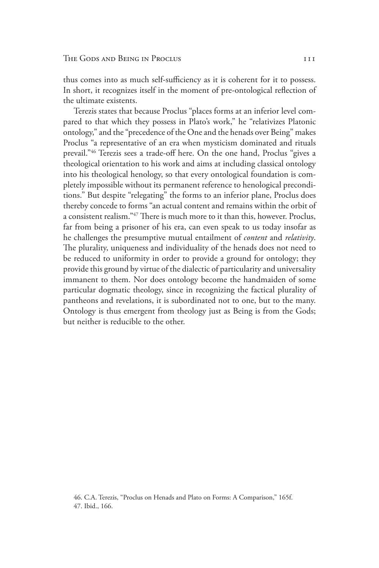thus comes into as much self-sufficiency as it is coherent for it to possess. In short, it recognizes itself in the moment of pre-ontological reflection of the ultimate existents.

Terezis states that because Proclus "places forms at an inferior level compared to that which they possess in Plato's work," he "relativizes Platonic ontology," and the "precedence of the One and the henads over Being" makes Proclus "a representative of an era when mysticism dominated and rituals prevail."46 Terezis sees a trade-off here. On the one hand, Proclus "gives a theological orientation to his work and aims at including classical ontology into his theological henology, so that every ontological foundation is completely impossible without its permanent reference to henological preconditions." But despite "relegating" the forms to an inferior plane, Proclus does thereby concede to forms "an actual content and remains within the orbit of a consistent realism."47 There is much more to it than this, however. Proclus, far from being a prisoner of his era, can even speak to us today insofar as he challenges the presumptive mutual entailment of *content* and *relativity*. The plurality, uniqueness and individuality of the henads does not need to be reduced to uniformity in order to provide a ground for ontology; they provide this ground by virtue of the dialectic of particularity and universality immanent to them. Nor does ontology become the handmaiden of some particular dogmatic theology, since in recognizing the factical plurality of pantheons and revelations, it is subordinated not to one, but to the many. Ontology is thus emergent from theology just as Being is from the Gods; but neither is reducible to the other.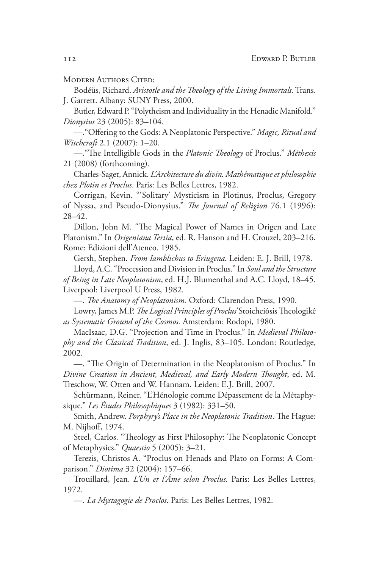MODERN AUTHORS CITED:

Bodéüs, Richard. *Aristotle and the Theology of the Living Immortals.* Trans. J. Garrett. Albany: SUNY Press, 2000.

Butler, Edward P. "Polytheism and Individuality in the Henadic Manifold." *Dionysius* 23 (2005): 83–104.

—."Offering to the Gods: A Neoplatonic Perspective." *Magic, Ritual and Witchcraft* 2.1 (2007): 1–20.

—."The Intelligible Gods in the *Platonic Theology* of Proclus." *Méthexis*  21 (2008) (forthcoming).

Charles-Saget, Annick. *L'Architecture du divin. Mathématique et philosophie chez Plotin et Proclus*. Paris: Les Belles Lettres, 1982.

Corrigan, Kevin. "'Solitary' Mysticism in Plotinus, Proclus, Gregory of Nyssa, and Pseudo-Dionysius." *The Journal of Religion* 76.1 (1996): 28–42.

Dillon, John M. "The Magical Power of Names in Origen and Late Platonism." In *Origeniana Tertia*, ed. R. Hanson and H. Crouzel, 203–216. Rome: Edizioni dell'Ateneo. 1985.

Gersh, Stephen. *From Iamblichus to Eriugena.* Leiden: E. J. Brill, 1978.

Lloyd, A.C. "Procession and Division in Proclus." In *Soul and the Structure of Being in Late Neoplatonism*, ed. H.J. Blumenthal and A.C. Lloyd, 18–45. Liverpool: Liverpool U Press, 1982.

—. *The Anatomy of Neoplatonism.* Oxford: Clarendon Press, 1990.

Lowry, James M.P. *The Logical Principles of Proclus'* Stoicheiôsis Theologikê *as Systematic Ground of the Cosmos.* Amsterdam: Rodopi, 1980.

MacIsaac, D.G. "Projection and Time in Proclus." In *Medieval Philosophy and the Classical Tradition*, ed. J. Inglis, 83–105. London: Routledge, 2002.

—. "The Origin of Determination in the Neoplatonism of Proclus." In *Divine Creation in Ancient, Medieval, and Early Modern Thought*, ed. M. Treschow, W. Otten and W. Hannam. Leiden: E.J. Brill, 2007.

Schürmann, Reiner. "L'Hénologie comme Dépassement de la Métaphysique." *Les Études Philosophiques* 3 (1982): 331–50.

Smith, Andrew. *Porphyry's Place in the Neoplatonic Tradition*. The Hague: M. Nijhoff, 1974.

Steel, Carlos. "Theology as First Philosophy: The Neoplatonic Concept of Metaphysics." *Quaestio* 5 (2005): 3–21.

Terezis, Christos A. "Proclus on Henads and Plato on Forms: A Comparison." *Diotima* 32 (2004): 157–66.

Trouillard, Jean. *L'Un et l'Âme selon Proclus.* Paris: Les Belles Lettres, 1972.

—. *La Mystagogie de Proclos*. Paris: Les Belles Lettres, 1982.